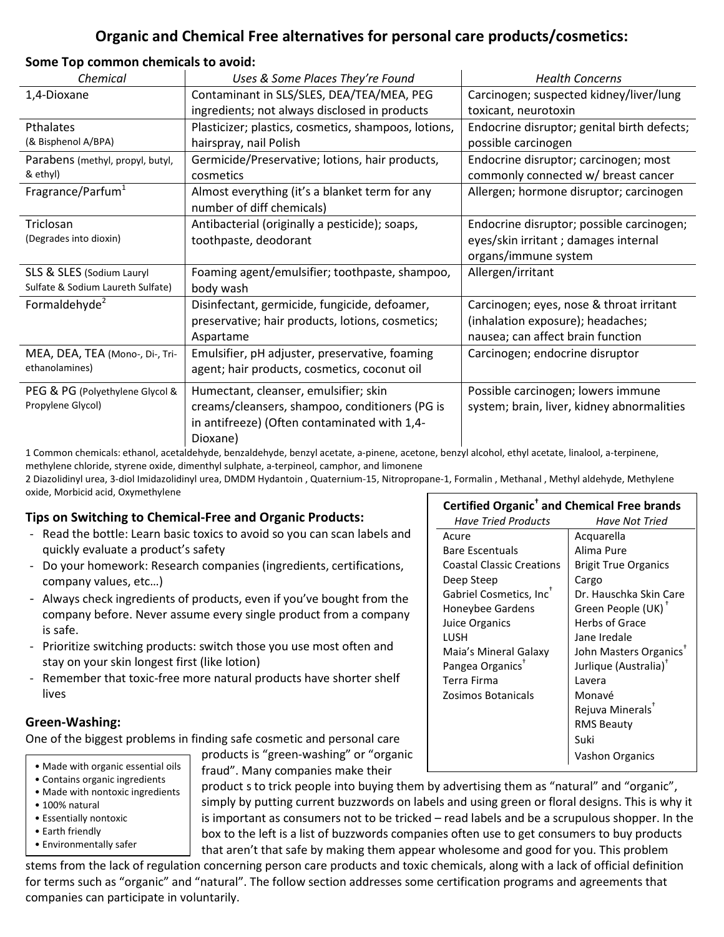# **Organic and Chemical Free alternatives for personal care products/cosmetics:**

### **Some Top common chemicals to avoid:**

| Chemical                          | Uses & Some Places They're Found                     | <b>Health Concerns</b>                      |
|-----------------------------------|------------------------------------------------------|---------------------------------------------|
| 1,4-Dioxane                       | Contaminant in SLS/SLES, DEA/TEA/MEA, PEG            | Carcinogen; suspected kidney/liver/lung     |
|                                   | ingredients; not always disclosed in products        | toxicant, neurotoxin                        |
| Pthalates                         | Plasticizer; plastics, cosmetics, shampoos, lotions, | Endocrine disruptor; genital birth defects; |
| (& Bisphenol A/BPA)               | hairspray, nail Polish                               | possible carcinogen                         |
| Parabens (methyl, propyl, butyl,  | Germicide/Preservative; lotions, hair products,      | Endocrine disruptor; carcinogen; most       |
| & ethyl)                          | cosmetics                                            | commonly connected w/ breast cancer         |
| Fragrance/Parfum <sup>1</sup>     | Almost everything (it's a blanket term for any       | Allergen; hormone disruptor; carcinogen     |
|                                   | number of diff chemicals)                            |                                             |
| Triclosan                         | Antibacterial (originally a pesticide); soaps,       | Endocrine disruptor; possible carcinogen;   |
| (Degrades into dioxin)            | toothpaste, deodorant                                | eyes/skin irritant ; damages internal       |
|                                   |                                                      | organs/immune system                        |
| SLS & SLES (Sodium Lauryl         | Foaming agent/emulsifier; toothpaste, shampoo,       | Allergen/irritant                           |
| Sulfate & Sodium Laureth Sulfate) | body wash                                            |                                             |
| Formaldehyde <sup>2</sup>         | Disinfectant, germicide, fungicide, defoamer,        | Carcinogen; eyes, nose & throat irritant    |
|                                   | preservative; hair products, lotions, cosmetics;     | (inhalation exposure); headaches;           |
|                                   | Aspartame                                            | nausea; can affect brain function           |
| MEA, DEA, TEA (Mono-, Di-, Tri-   | Emulsifier, pH adjuster, preservative, foaming       | Carcinogen; endocrine disruptor             |
| ethanolamines)                    | agent; hair products, cosmetics, coconut oil         |                                             |
| PEG & PG (Polyethylene Glycol &   | Humectant, cleanser, emulsifier; skin                | Possible carcinogen; lowers immune          |
| Propylene Glycol)                 | creams/cleansers, shampoo, conditioners (PG is       | system; brain, liver, kidney abnormalities  |
|                                   | in antifreeze) (Often contaminated with 1,4-         |                                             |
|                                   | Dioxane)                                             |                                             |
|                                   |                                                      |                                             |

1 Common chemicals: ethanol, acetaldehyde, benzaldehyde, benzyl acetate, a-pinene, acetone, benzyl alcohol, ethyl acetate, linalool, a-terpinene, methylene chloride, styrene oxide, dimenthyl sulphate, a-terpineol, camphor, and limonene

2 Diazolidinyl urea, 3-diol Imidazolidinyl urea, DMDM Hydantoin , Quaternium-15, Nitropropane-1, Formalin , Methanal , Methyl aldehyde, Methylene oxide, Morbicid acid, Oxymethylene

# **Tips on Switching to Chemical-Free and Organic Products:**

- Read the bottle: Learn basic toxics to avoid so you can scan labels and quickly evaluate a product's safety
- Do your homework: Research companies (ingredients, certifications, company values, etc…)
- Always check ingredients of products, even if you've bought from the company before. Never assume every single product from a company is safe.
- Prioritize switching products: switch those you use most often and stay on your skin longest first (like lotion)
- Remember that toxic-free more natural products have shorter shelf lives

## **Green-Washing:**

One of the biggest problems in finding safe cosmetic and personal care

- Made with organic essential oils
- Contains organic ingredients • Made with nontoxic ingredients
- 100% natural
- Essentially nontoxic
- Earth friendly
- Environmentally safer

products is "green-washing" or "organic fraud". Many companies make their

product s to trick people into buying them by advertising them as "natural" and "organic", simply by putting current buzzwords on labels and using green or floral designs. This is why it is important as consumers not to be tricked – read labels and be a scrupulous shopper. In the box to the left is a list of buzzwords companies often use to get consumers to buy products that aren't that safe by making them appear wholesome and good for you. This problem

stems from the lack of regulation concerning person care products and toxic chemicals, along with a lack of official definition for terms such as "organic" and "natural". The follow section addresses some certification programs and agreements that companies can participate in voluntarily.

# **Certified Organic† and Chemical Free brands**

| Have Tried Products                 | Have Not Tried                     |
|-------------------------------------|------------------------------------|
| Acure                               | Acquarella                         |
| <b>Bare Escentuals</b>              | Alima Pure                         |
| <b>Coastal Classic Creations</b>    | <b>Brigit True Organics</b>        |
| Deep Steep                          | Cargo                              |
| Gabriel Cosmetics, Inc <sup>+</sup> | Dr. Hauschka Skin Care             |
| Honeybee Gardens                    | Green People (UK) <sup>+</sup>     |
| Juice Organics                      | Herbs of Grace                     |
| LUSH                                | Jane Iredale                       |
| Maia's Mineral Galaxy               | John Masters Organics <sup>T</sup> |
| Pangea Organics <sup>™</sup>        | Jurlique (Australia) <sup>†</sup>  |
| Terra Firma                         | Lavera                             |
| Zosimos Botanicals                  | Monavé                             |
|                                     | Rejuva Minerals <sup>+</sup>       |
|                                     | <b>RMS Beauty</b>                  |
|                                     | Suki                               |
|                                     | Vashon Organics                    |